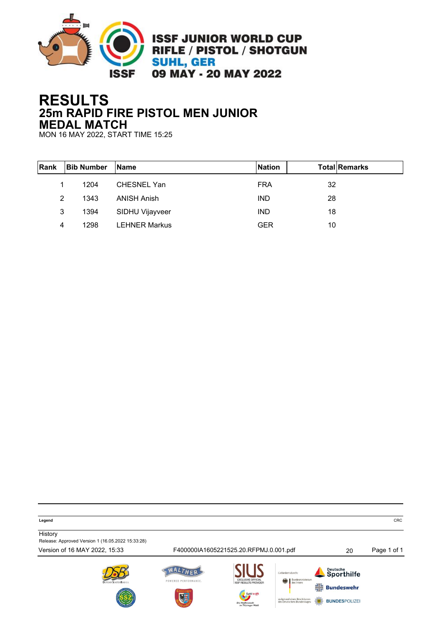

## **RESULTS 25m RAPID FIRE PISTOL MEN JUNIOR MEDAL MATCH**

MON 16 MAY 2022, START TIME 15:25

| Rank | <b>Bib Number</b> | <b>IName</b>         | <b>Nation</b> | <b>Total Remarks</b> |
|------|-------------------|----------------------|---------------|----------------------|
|      | 1204              | <b>CHESNEL Yan</b>   | <b>FRA</b>    | 32                   |
| 2    | 1343              | <b>ANISH Anish</b>   | <b>IND</b>    | 28                   |
| 3    | 1394              | SIDHU Vijayveer      | <b>IND</b>    | 18                   |
| 4    | 1298              | <b>LEHNER Markus</b> | <b>GER</b>    | 10                   |

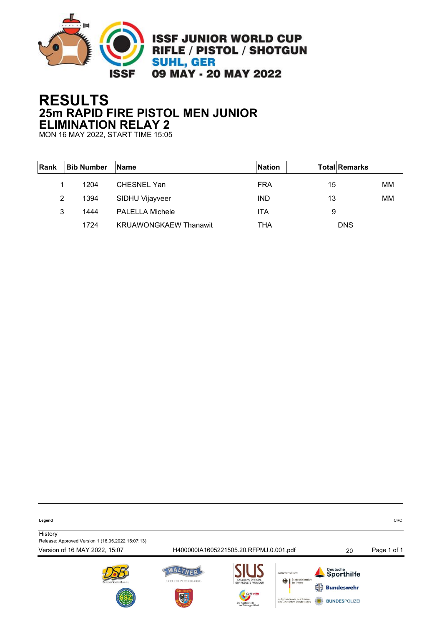

# **RESULTS 25m RAPID FIRE PISTOL MEN JUNIOR ELIMINATION RELAY 2**

MON 16 MAY 2022, START TIME 15:05

| Rank | <b>Bib Number</b> | <b>IName</b>                 | <b>Nation</b> | <b>Total Remarks</b> |    |
|------|-------------------|------------------------------|---------------|----------------------|----|
|      | 1204              | CHESNEL Yan                  | <b>FRA</b>    | 15                   | MМ |
| 2    | 1394              | SIDHU Vijayveer              | <b>IND</b>    | 13                   | MМ |
| 3    | 1444              | <b>PALELLA Michele</b>       | <b>ITA</b>    | 9                    |    |
|      | 1724              | <b>KRUAWONGKAEW Thanawit</b> | THA           | <b>DNS</b>           |    |

**Legend** CRC

**History** Release: Approved Version 1 (16.05.2022 15:07:13)

Version of 16 MAY 2022, 15:07 H400000IA1605221505.20.RFPMJ.0.001.pdf 20 Page 1 of 1WALTHER Deutsche<br>Sporthilfe Cofördert durch POWERED PERFORMANCE.  $\frac{1}{7}$  Bundeswehr aufgrund eines Besch<br>des Deutschen Bunde **BUNDESPOLIZE**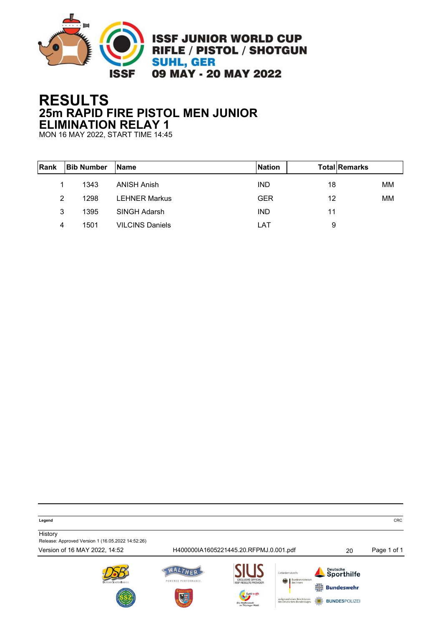

# **RESULTS 25m RAPID FIRE PISTOL MEN JUNIOR ELIMINATION RELAY 1**

MON 16 MAY 2022, START TIME 14:45

| <b>IRank</b> | <b>Bib Number</b> | <b>IName</b>           | <b>Nation</b> | <b>TotallRemarks</b> |    |
|--------------|-------------------|------------------------|---------------|----------------------|----|
|              | 1343              | <b>ANISH Anish</b>     | <b>IND</b>    | 18                   | MМ |
| 2            | 1298              | <b>LEHNER Markus</b>   | <b>GER</b>    | 12                   | MM |
| 3            | 1395              | SINGH Adarsh           | <b>IND</b>    | 11                   |    |
| 4            | 1501              | <b>VILCINS Daniels</b> | LAT           | 9                    |    |

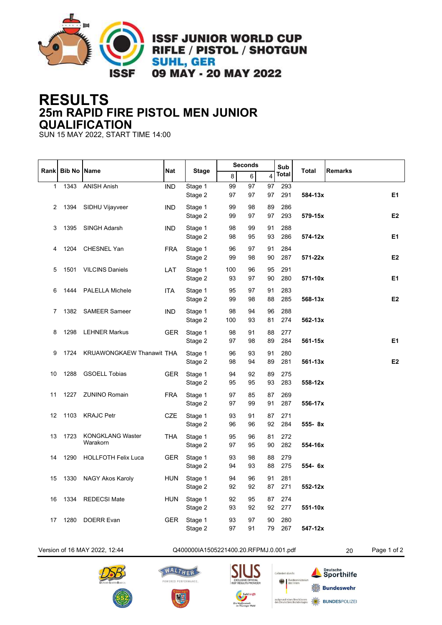

**ISSF JUNIOR WORLD CUP** RIFLE / PISTOL / SHOTGUN **SUHL, GER** 09 MAY - 20 MAY 2022

## **RESULTS 25m RAPID FIRE PISTOL MEN JUNIOR QUALIFICATION**

SUN 15 MAY 2022, START TIME 14:00

|      |                    |                            |            |              | <b>Seconds</b> |    | Sub                     |       |              |                |
|------|--------------------|----------------------------|------------|--------------|----------------|----|-------------------------|-------|--------------|----------------|
| Rank | <b>Bib No Name</b> |                            | <b>Nat</b> | <b>Stage</b> | 8              | 6  | $\overline{\mathbf{4}}$ | Total | <b>Total</b> | <b>Remarks</b> |
| 1    | 1343               | <b>ANISH Anish</b>         | <b>IND</b> | Stage 1      | 99             | 97 | 97                      | 293   |              |                |
|      |                    |                            |            | Stage 2      | 97             | 97 | 97                      | 291   | 584-13x      | E1             |
| 2    | 1394               | SIDHU Vijayveer            | <b>IND</b> | Stage 1      | 99             | 98 | 89                      | 286   |              |                |
|      |                    |                            |            | Stage 2      | 99             | 97 | 97                      | 293   | 579-15x      | E <sub>2</sub> |
| 3    | 1395               | SINGH Adarsh               | <b>IND</b> | Stage 1      | 98             | 99 | 91                      | 288   |              |                |
|      |                    |                            |            | Stage 2      | 98             | 95 | 93                      | 286   | 574-12x      | E <sub>1</sub> |
| 4    | 1204               | <b>CHESNEL Yan</b>         | <b>FRA</b> | Stage 1      | 96             | 97 | 91                      | 284   |              |                |
|      |                    |                            |            | Stage 2      | 99             | 98 | 90                      | 287   | 571-22x      | E <sub>2</sub> |
| 5    | 1501               | <b>VILCINS Daniels</b>     | LAT        | Stage 1      | 100            | 96 | 95                      | 291   |              |                |
|      |                    |                            |            | Stage 2      | 93             | 97 | 90                      | 280   | 571-10x      | E1             |
| 6    | 1444               | <b>PALELLA Michele</b>     | <b>ITA</b> | Stage 1      | 95             | 97 | 91                      | 283   |              |                |
|      |                    |                            |            | Stage 2      | 99             | 98 | 88                      | 285   | 568-13x      | E <sub>2</sub> |
| 7    |                    | 1382 SAMEER Sameer         | <b>IND</b> | Stage 1      | 98             | 94 | 96                      | 288   |              |                |
|      |                    |                            |            | Stage 2      | 100            | 93 | 81                      | 274   | $562 - 13x$  |                |
| 8    | 1298               | <b>LEHNER Markus</b>       | <b>GER</b> | Stage 1      | 98             | 91 | 88                      | 277   |              |                |
|      |                    |                            |            | Stage 2      | 97             | 98 | 89                      | 284   | 561-15x      | E1             |
| 9    | 1724               | KRUAWONGKAEW Thanawit THA  |            | Stage 1      | 96             | 93 | 91                      | 280   |              |                |
|      |                    |                            |            | Stage 2      | 98             | 94 | 89                      | 281   | $561 - 13x$  | E <sub>2</sub> |
| 10   | 1288               | <b>GSOELL Tobias</b>       | <b>GER</b> | Stage 1      | 94             | 92 | 89                      | 275   |              |                |
|      |                    |                            |            | Stage 2      | 95             | 95 | 93                      | 283   | 558-12x      |                |
| 11   | 1227               | <b>ZUNINO Romain</b>       | <b>FRA</b> | Stage 1      | 97             | 85 | 87                      | 269   |              |                |
|      |                    |                            |            | Stage 2      | 97             | 99 | 91                      | 287   | 556-17x      |                |
| 12   |                    | 1103 KRAJC Petr            | CZE        | Stage 1      | 93             | 91 | 87                      | 271   |              |                |
|      |                    |                            |            | Stage 2      | 96             | 96 | 92                      | 284   | 555-8x       |                |
| 13   | 1723               | <b>KONGKLANG Waster</b>    | <b>THA</b> | Stage 1      | 95             | 96 | 81                      | 272   |              |                |
|      |                    | Warakorn                   |            | Stage 2      | 97             | 95 | 90                      | 282   | 554-16x      |                |
| 14   | 1290               | <b>HOLLFOTH Felix Luca</b> | <b>GER</b> | Stage 1      | 93             | 98 | 88                      | 279   |              |                |
|      |                    |                            |            | Stage 2      | 94             | 93 | 88                      | 275   | 554- 6x      |                |
| 15   | 1330               | NAGY Akos Karoly           | <b>HUN</b> | Stage 1      | 94             | 96 | 91                      | 281   |              |                |
|      |                    |                            |            | Stage 2      | 92             | 92 | 87                      | 271   | 552-12x      |                |
| 16   | 1334               | <b>REDECSI Mate</b>        | <b>HUN</b> | Stage 1      | 92             | 95 | 87                      | 274   |              |                |
|      |                    |                            |            | Stage 2      | 93             | 92 | 92                      | 277   | 551-10x      |                |
| 17   | 1280               | <b>DOERR Evan</b>          | <b>GER</b> | Stage 1      | 93             | 97 | 90                      | 280   |              |                |
|      |                    |                            |            | Stage 2      | 97             | 91 | 79                      | 267   | 547-12x      |                |

#### Version of 16 MAY 2022, 12:44 Q400000IA1505221400.20.RFPMJ.0.001.pdf 20 Page 1 of 2









Bunde<br>des In 传